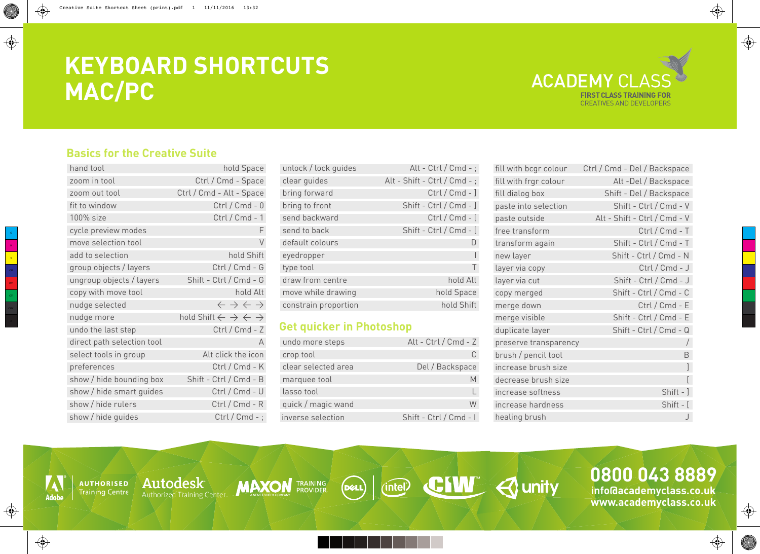Y

MY  $\rm{_{CY}}$ 

# **KEYBOARD SHORTCUTS MAC/PC**



## **Basics for the Creative Suite**

| hand tool                  | hold Space                                                       |
|----------------------------|------------------------------------------------------------------|
| zoom in tool               | Ctrl / Cmd - Space                                               |
| zoom out tool              | Ctrl / Cmd - Alt - Space                                         |
| fit to window              | $Ctrl / Cmd - 0$                                                 |
| 100% size                  | $Ctrl / Cmd - 1$                                                 |
| cycle preview modes        | F                                                                |
| move selection tool        | $\vee$                                                           |
| add to selection           | hold Shift                                                       |
| group objects / layers     | Ctrl / Cmd - G                                                   |
| ungroup objects / layers   | Shift - Ctrl / Cmd - G                                           |
| copy with move tool        | hold Alt                                                         |
| nudge selected             | $\leftarrow$ $\rightarrow$ $\leftarrow$ $\rightarrow$            |
| nudge more                 | hold Shift $\leftarrow$ $\rightarrow$ $\leftarrow$ $\rightarrow$ |
| undo the last step         | Ctrl / Cmd - Z                                                   |
| direct path selection tool | A                                                                |
| select tools in group      | Alt click the icon                                               |
| preferences                | Ctrl / Cmd - K                                                   |
| show / hide bounding box   | Shift - Ctrl / Cmd - B                                           |
| show / hide smart guides   | Ctrl / Cmd - U                                                   |
| show / hide rulers         | Ctrl / Cmd - R                                                   |
| show / hide guides         | $Ctrl / Cmd -$ ;                                                 |

Autodesk

Authorized Training Center

**AUTHORISED Training Centre** 

**Adob** 

♦

 $\bigoplus$ 

| unlock / lock guides | Alt - Ctrl / Cmd -;          |
|----------------------|------------------------------|
| clear guides         | Alt - Shift - Ctrl / Cmd - ; |
| bring forward        | $Ctrl / Cmd - ]$             |
| bring to front       | Shift - Ctrl / Cmd - ]       |
| send backward        | $Ctrl / Cmd - [$             |
| send to back         | Shift - Ctrl / Cmd - [       |
| default colours      |                              |
| eyedropper           |                              |
| type tool            |                              |
| draw from centre     | hold Alt                     |
| move while drawing   | hold Space                   |
| constrain proportion | hold Shift                   |
|                      |                              |

## **Get quicker in Photoshop**

**MAXON** TRAINING

| undo more steps     | Alt - Ctrl / Cmd - $Z$ |
|---------------------|------------------------|
| crop tool           |                        |
| clear selected area | Del / Backspace        |
| marquee tool        |                        |
| lasso tool          |                        |
| quick / magic wand  |                        |
| inverse selection   | Shift - Ctrl / Cmd - I |

**Peace | intell CEW 4 unity** 

| fill with bcgr colour | Ctrl / Cmd - Del / Backspace |
|-----------------------|------------------------------|
| fill with frgr colour | Alt-Del / Backspace          |
| fill dialog box       | Shift - Del / Backspace      |
| paste into selection  | Shift - Ctrl / Cmd - V       |
| paste outside         | Alt - Shift - Ctrl / Cmd - V |
| free transform        | $Ctrl / Cmd - T$             |
| transform again       | Shift - Ctrl / Cmd - T       |
| new layer             | Shift - Ctrl / Cmd - N       |
| layer via copy        | Ctrl / Cmd - J               |
| layer via cut         | Shift - Ctrl / Cmd - J       |
| copy merged           | Shift - Ctrl / Cmd - C       |
| merge down            | $Ctrl / Cmd - E$             |
| merge visible         | Shift - Ctrl / Cmd - E       |
| duplicate layer       | Shift - Ctrl / Cmd - Q       |
| preserve transparency | $\sqrt{2}$                   |
| brush / pencil tool   | B                            |
| increase brush size   | 1                            |
| decrease brush size   |                              |
| increase softness     | Shift - ]                    |
| increase hardness     | Shift - [                    |
| healing brush         |                              |

**www.academyclass.co.uk**

 $\bigoplus$ 

**SUPPORT** 

 $\bigoplus$